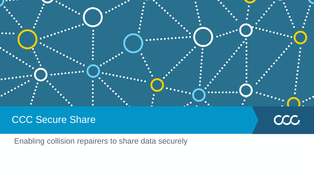

# CCC Secure Share

Enabling collision repairers to share data securely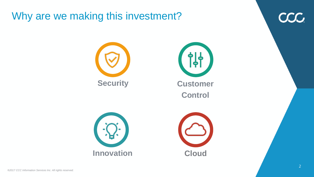# Why are we making this investment?

CCC.







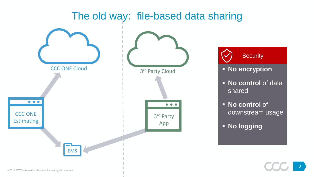

#### *®2017 CCC Information Services Inc. All rights reserved.*

3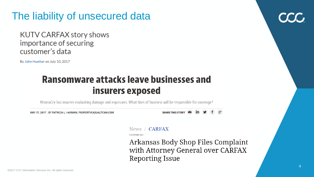# The liability of unsecured data

### **KUTV CARFAX story shows** importance of securing customer's data

By John Huetter on July 10, 2017

### **Ransomware attacks leave businesses and** insurers exposed

WannaCry has insurers evaluating damage and exposures. What lines of business will be responsible for coverage?

MAY 17, 2017 | BY PATRICIA L. HARMAN, PROPERTYCASUALTY360.COM

SHARE THIS STORY  $\blacksquare$  in  $\blacktriangleright$ 

### News / CARFAX

6 MONTHS AGO

Arkansas Body Shop Files Complaint with Attorney General over CARFAX Reporting Issue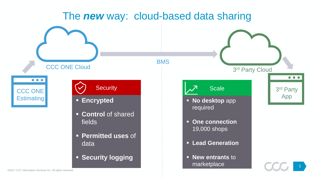# The *new* way: cloud-based data sharing

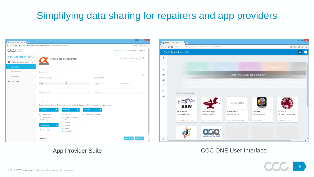# Simplifying data sharing for repairers and app providers

|                                                       | C △ B Secure   https://www.cccsecureshare.com/dashboard/application/88/details                                   |                                                                                                             |   |                         |                                     | ☆□□□  |
|-------------------------------------------------------|------------------------------------------------------------------------------------------------------------------|-------------------------------------------------------------------------------------------------------------|---|-------------------------|-------------------------------------|-------|
| SECURE<br>SHARE                                       |                                                                                                                  |                                                                                                             |   |                         | API Documents   Logout<br>Dashboard |       |
| <b>Alpha Application Provi</b><br>Alpha Shop Manage v | Alpha Shop Management                                                                                            |                                                                                                             |   | Body Shop Management Ø  |                                     |       |
| <b>App Details</b>                                    | <b>Change log</b>                                                                                                |                                                                                                             |   |                         |                                     |       |
| Environments                                          | Description                                                                                                      |                                                                                                             |   |                         |                                     |       |
| Customers                                             | <b>APP INFORMATION</b>                                                                                           |                                                                                                             |   | <b>APP SUPPORT</b>      |                                     | 0/500 |
| + Add App                                             | Status<br><b>Draft</b>                                                                                           | App ID<br>88                                                                                                |   | Support phone           | Support email                       |       |
|                                                       | Marketing URL                                                                                                    |                                                                                                             | Ø | <b>Support URL</b>      |                                     | 环     |
|                                                       | <b>FILTERS</b>                                                                                                   | Configure these filters to define the types of workfiles that you are willing to receive from repair shops. |   |                         |                                     |       |
|                                                       | Event Type<br>Payer Type<br>Insurance                                                                            |                                                                                                             |   |                         |                                     |       |
|                                                       |                                                                                                                  |                                                                                                             |   |                         |                                     |       |
|                                                       | <b>Workfile Save</b><br>✓<br><b>Estimate Locked</b><br>Manually Exported<br>$\checkmark$<br><b>Workfile Type</b> | Self Pay<br>✓<br><b>Insurance Company</b><br>✓<br>Fleet<br>✓<br>Warranty<br>✓<br>Internal<br>✓              | ✓ | All insurance companies |                                     |       |



### App Provider Suite **CCC ONE User Interface**

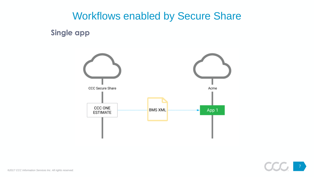**Single app**



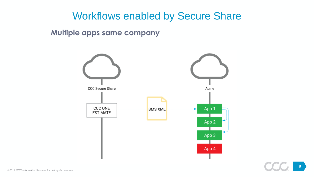### **Multiple apps same company**

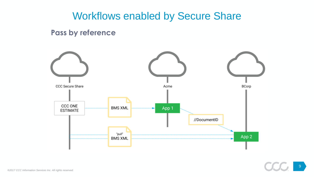### **Pass by reference**

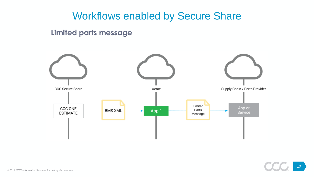### **Limited parts message**

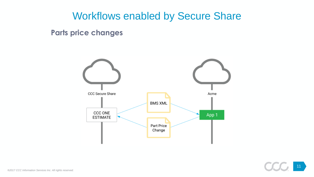**Parts price changes**